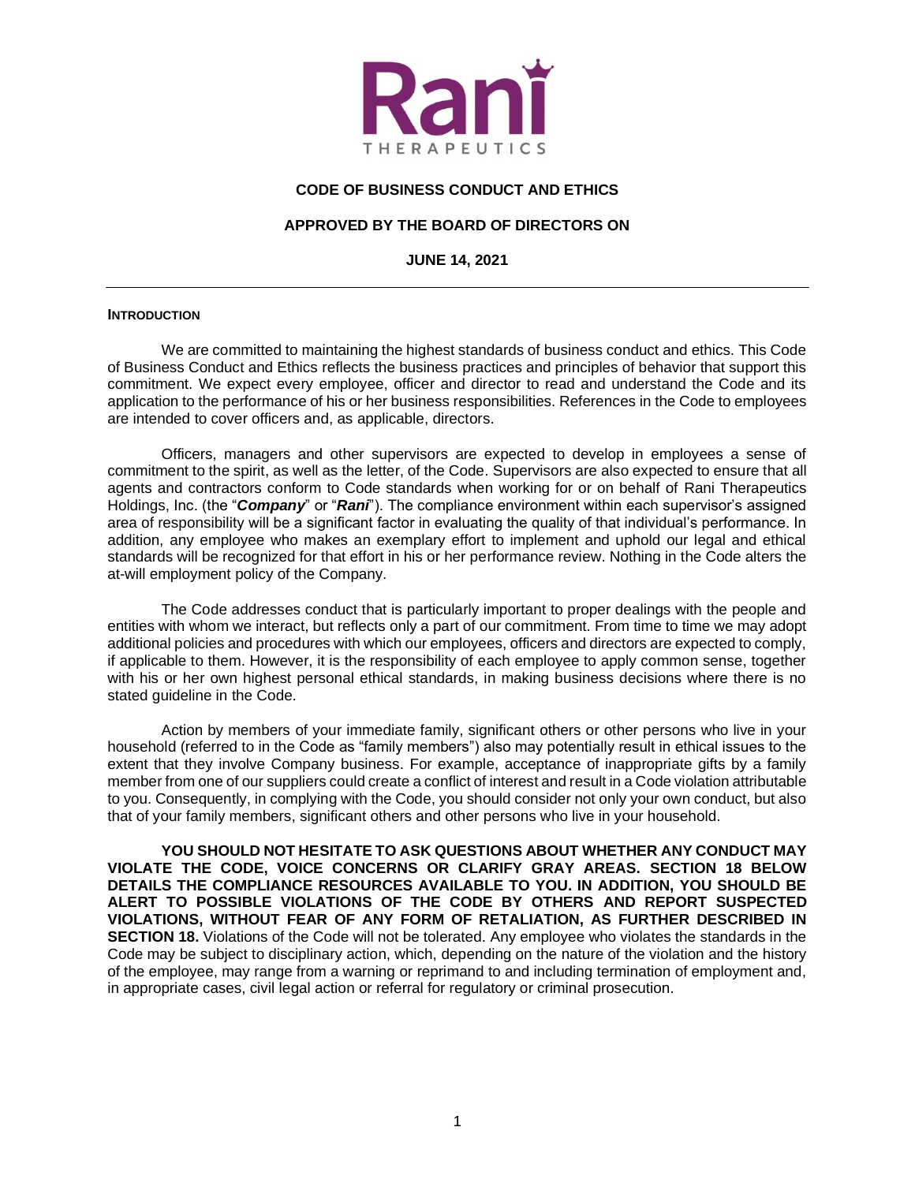

### **CODE OF BUSINESS CONDUCT AND ETHICS**

#### **APPROVED BY THE BOARD OF DIRECTORS ON**

**JUNE 14, 2021**

#### **INTRODUCTION**

We are committed to maintaining the highest standards of business conduct and ethics. This Code of Business Conduct and Ethics reflects the business practices and principles of behavior that support this commitment. We expect every employee, officer and director to read and understand the Code and its application to the performance of his or her business responsibilities. References in the Code to employees are intended to cover officers and, as applicable, directors.

Officers, managers and other supervisors are expected to develop in employees a sense of commitment to the spirit, as well as the letter, of the Code. Supervisors are also expected to ensure that all agents and contractors conform to Code standards when working for or on behalf of Rani Therapeutics Holdings, Inc. (the "*Company*" or "*Rani*"). The compliance environment within each supervisor's assigned area of responsibility will be a significant factor in evaluating the quality of that individual's performance. In addition, any employee who makes an exemplary effort to implement and uphold our legal and ethical standards will be recognized for that effort in his or her performance review. Nothing in the Code alters the at-will employment policy of the Company.

The Code addresses conduct that is particularly important to proper dealings with the people and entities with whom we interact, but reflects only a part of our commitment. From time to time we may adopt additional policies and procedures with which our employees, officers and directors are expected to comply, if applicable to them. However, it is the responsibility of each employee to apply common sense, together with his or her own highest personal ethical standards, in making business decisions where there is no stated guideline in the Code.

Action by members of your immediate family, significant others or other persons who live in your household (referred to in the Code as "family members") also may potentially result in ethical issues to the extent that they involve Company business. For example, acceptance of inappropriate gifts by a family member from one of our suppliers could create a conflict of interest and result in a Code violation attributable to you. Consequently, in complying with the Code, you should consider not only your own conduct, but also that of your family members, significant others and other persons who live in your household.

**YOU SHOULD NOT HESITATE TO ASK QUESTIONS ABOUT WHETHER ANY CONDUCT MAY VIOLATE THE CODE, VOICE CONCERNS OR CLARIFY GRAY AREAS. SECTION 18 BELOW DETAILS THE COMPLIANCE RESOURCES AVAILABLE TO YOU. IN ADDITION, YOU SHOULD BE ALERT TO POSSIBLE VIOLATIONS OF THE CODE BY OTHERS AND REPORT SUSPECTED VIOLATIONS, WITHOUT FEAR OF ANY FORM OF RETALIATION, AS FURTHER DESCRIBED IN SECTION 18.** Violations of the Code will not be tolerated. Any employee who violates the standards in the Code may be subject to disciplinary action, which, depending on the nature of the violation and the history of the employee, may range from a warning or reprimand to and including termination of employment and, in appropriate cases, civil legal action or referral for regulatory or criminal prosecution.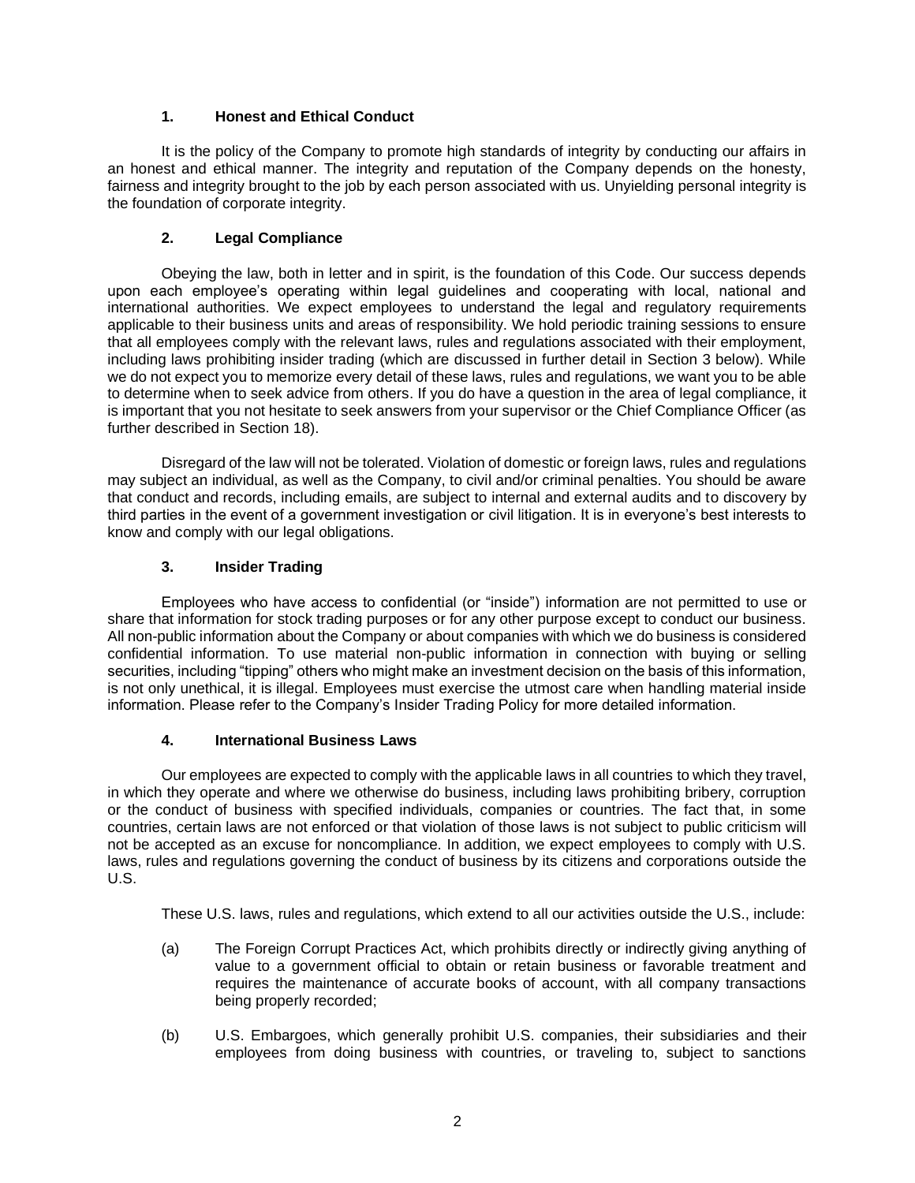## **1. Honest and Ethical Conduct**

It is the policy of the Company to promote high standards of integrity by conducting our affairs in an honest and ethical manner. The integrity and reputation of the Company depends on the honesty, fairness and integrity brought to the job by each person associated with us. Unyielding personal integrity is the foundation of corporate integrity.

# **2. Legal Compliance**

Obeying the law, both in letter and in spirit, is the foundation of this Code. Our success depends upon each employee's operating within legal guidelines and cooperating with local, national and international authorities. We expect employees to understand the legal and regulatory requirements applicable to their business units and areas of responsibility. We hold periodic training sessions to ensure that all employees comply with the relevant laws, rules and regulations associated with their employment, including laws prohibiting insider trading (which are discussed in further detail in Section 3 below). While we do not expect you to memorize every detail of these laws, rules and regulations, we want you to be able to determine when to seek advice from others. If you do have a question in the area of legal compliance, it is important that you not hesitate to seek answers from your supervisor or the Chief Compliance Officer (as further described in Section 18).

Disregard of the law will not be tolerated. Violation of domestic or foreign laws, rules and regulations may subject an individual, as well as the Company, to civil and/or criminal penalties. You should be aware that conduct and records, including emails, are subject to internal and external audits and to discovery by third parties in the event of a government investigation or civil litigation. It is in everyone's best interests to know and comply with our legal obligations.

# **3. Insider Trading**

Employees who have access to confidential (or "inside") information are not permitted to use or share that information for stock trading purposes or for any other purpose except to conduct our business. All non-public information about the Company or about companies with which we do business is considered confidential information. To use material non-public information in connection with buying or selling securities, including "tipping" others who might make an investment decision on the basis of this information, is not only unethical, it is illegal. Employees must exercise the utmost care when handling material inside information. Please refer to the Company's Insider Trading Policy for more detailed information.

## **4. International Business Laws**

Our employees are expected to comply with the applicable laws in all countries to which they travel, in which they operate and where we otherwise do business, including laws prohibiting bribery, corruption or the conduct of business with specified individuals, companies or countries. The fact that, in some countries, certain laws are not enforced or that violation of those laws is not subject to public criticism will not be accepted as an excuse for noncompliance. In addition, we expect employees to comply with U.S. laws, rules and regulations governing the conduct of business by its citizens and corporations outside the U.S.

These U.S. laws, rules and regulations, which extend to all our activities outside the U.S., include:

- (a) The Foreign Corrupt Practices Act, which prohibits directly or indirectly giving anything of value to a government official to obtain or retain business or favorable treatment and requires the maintenance of accurate books of account, with all company transactions being properly recorded;
- (b) U.S. Embargoes, which generally prohibit U.S. companies, their subsidiaries and their employees from doing business with countries, or traveling to, subject to sanctions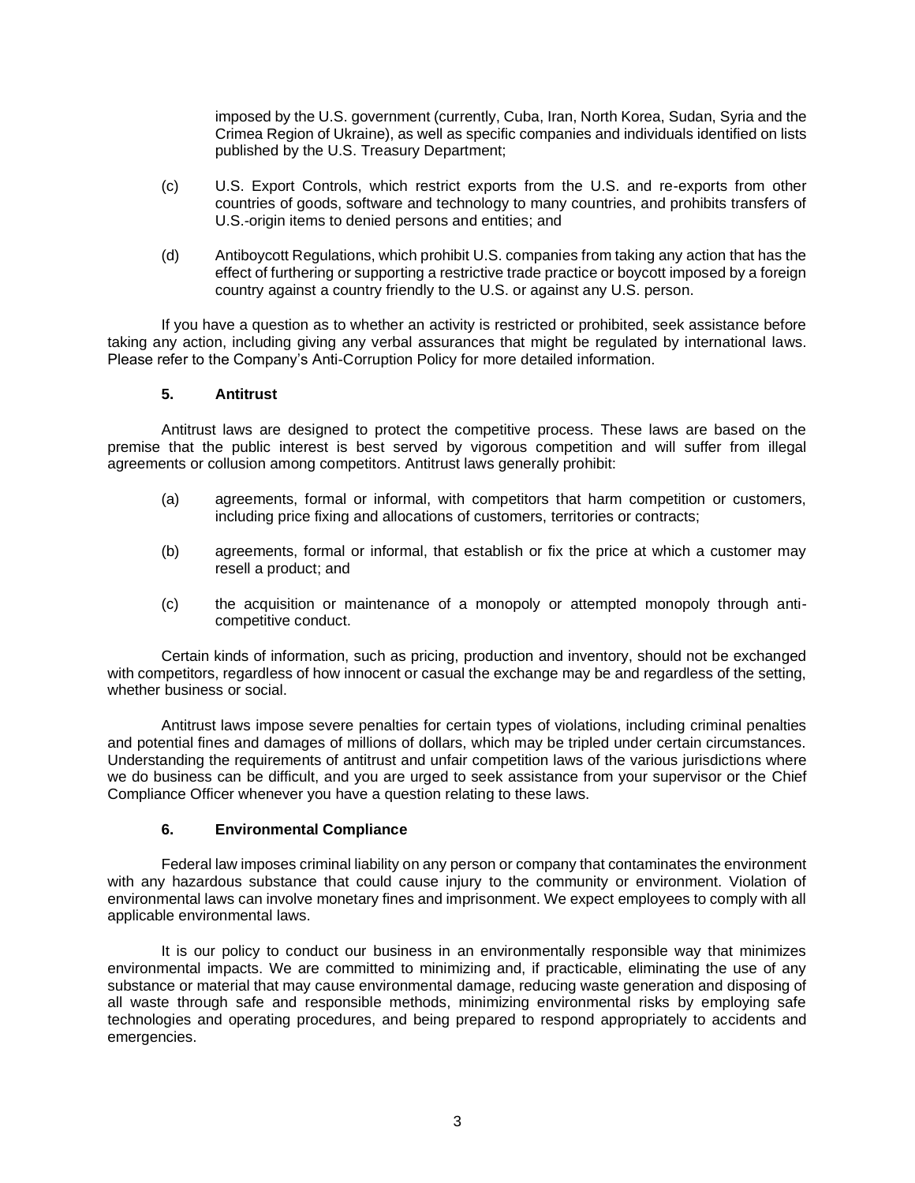imposed by the U.S. government (currently, Cuba, Iran, North Korea, Sudan, Syria and the Crimea Region of Ukraine), as well as specific companies and individuals identified on lists published by the U.S. Treasury Department;

- (c) U.S. Export Controls, which restrict exports from the U.S. and re-exports from other countries of goods, software and technology to many countries, and prohibits transfers of U.S.-origin items to denied persons and entities; and
- (d) Antiboycott Regulations, which prohibit U.S. companies from taking any action that has the effect of furthering or supporting a restrictive trade practice or boycott imposed by a foreign country against a country friendly to the U.S. or against any U.S. person.

If you have a question as to whether an activity is restricted or prohibited, seek assistance before taking any action, including giving any verbal assurances that might be regulated by international laws. Please refer to the Company's Anti-Corruption Policy for more detailed information.

#### **5. Antitrust**

Antitrust laws are designed to protect the competitive process. These laws are based on the premise that the public interest is best served by vigorous competition and will suffer from illegal agreements or collusion among competitors. Antitrust laws generally prohibit:

- (a) agreements, formal or informal, with competitors that harm competition or customers, including price fixing and allocations of customers, territories or contracts;
- (b) agreements, formal or informal, that establish or fix the price at which a customer may resell a product; and
- (c) the acquisition or maintenance of a monopoly or attempted monopoly through anticompetitive conduct.

Certain kinds of information, such as pricing, production and inventory, should not be exchanged with competitors, regardless of how innocent or casual the exchange may be and regardless of the setting, whether business or social.

Antitrust laws impose severe penalties for certain types of violations, including criminal penalties and potential fines and damages of millions of dollars, which may be tripled under certain circumstances. Understanding the requirements of antitrust and unfair competition laws of the various jurisdictions where we do business can be difficult, and you are urged to seek assistance from your supervisor or the Chief Compliance Officer whenever you have a question relating to these laws.

### **6. Environmental Compliance**

Federal law imposes criminal liability on any person or company that contaminates the environment with any hazardous substance that could cause injury to the community or environment. Violation of environmental laws can involve monetary fines and imprisonment. We expect employees to comply with all applicable environmental laws.

It is our policy to conduct our business in an environmentally responsible way that minimizes environmental impacts. We are committed to minimizing and, if practicable, eliminating the use of any substance or material that may cause environmental damage, reducing waste generation and disposing of all waste through safe and responsible methods, minimizing environmental risks by employing safe technologies and operating procedures, and being prepared to respond appropriately to accidents and emergencies.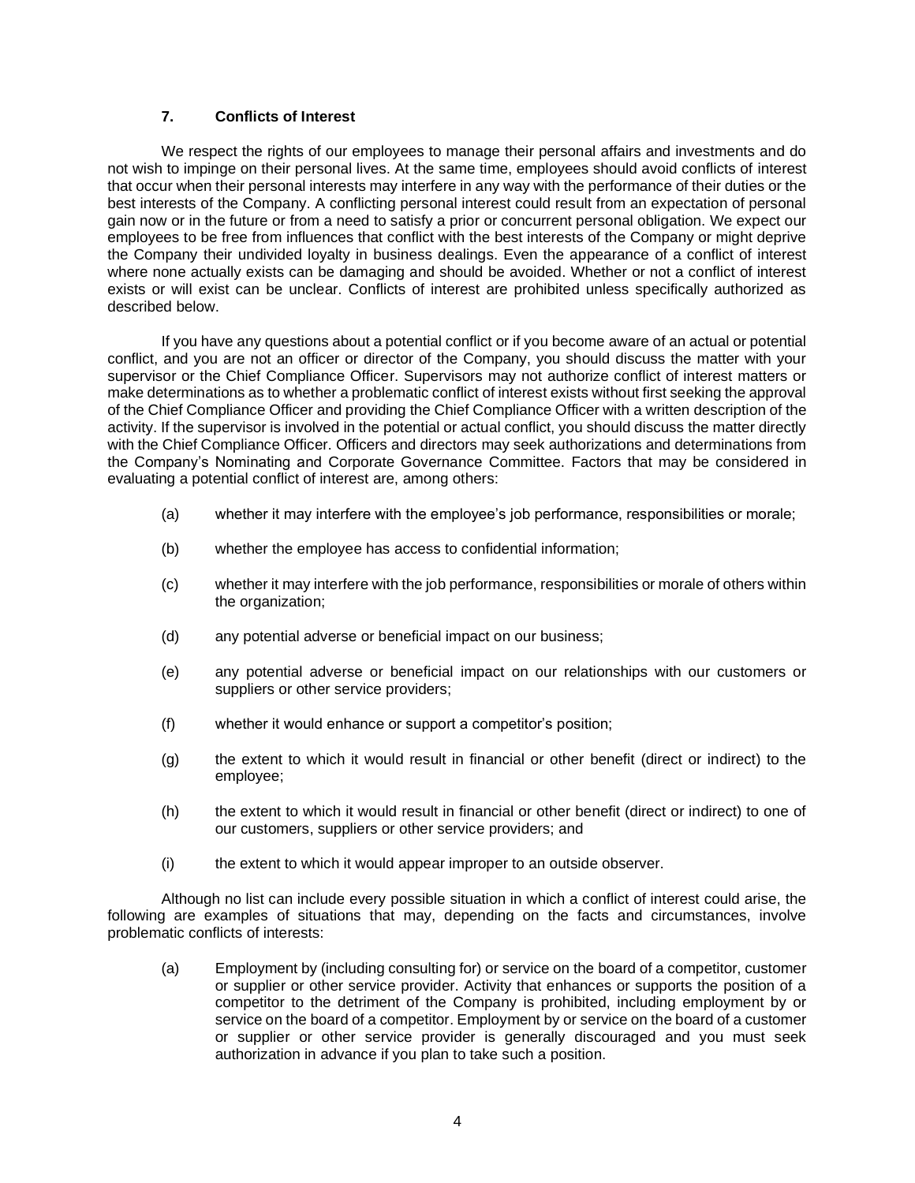#### **7. Conflicts of Interest**

We respect the rights of our employees to manage their personal affairs and investments and do not wish to impinge on their personal lives. At the same time, employees should avoid conflicts of interest that occur when their personal interests may interfere in any way with the performance of their duties or the best interests of the Company. A conflicting personal interest could result from an expectation of personal gain now or in the future or from a need to satisfy a prior or concurrent personal obligation. We expect our employees to be free from influences that conflict with the best interests of the Company or might deprive the Company their undivided loyalty in business dealings. Even the appearance of a conflict of interest where none actually exists can be damaging and should be avoided. Whether or not a conflict of interest exists or will exist can be unclear. Conflicts of interest are prohibited unless specifically authorized as described below.

If you have any questions about a potential conflict or if you become aware of an actual or potential conflict, and you are not an officer or director of the Company, you should discuss the matter with your supervisor or the Chief Compliance Officer. Supervisors may not authorize conflict of interest matters or make determinations as to whether a problematic conflict of interest exists without first seeking the approval of the Chief Compliance Officer and providing the Chief Compliance Officer with a written description of the activity. If the supervisor is involved in the potential or actual conflict, you should discuss the matter directly with the Chief Compliance Officer. Officers and directors may seek authorizations and determinations from the Company's Nominating and Corporate Governance Committee. Factors that may be considered in evaluating a potential conflict of interest are, among others:

- (a) whether it may interfere with the employee's job performance, responsibilities or morale;
- (b) whether the employee has access to confidential information;
- (c) whether it may interfere with the job performance, responsibilities or morale of others within the organization;
- (d) any potential adverse or beneficial impact on our business;
- (e) any potential adverse or beneficial impact on our relationships with our customers or suppliers or other service providers;
- (f) whether it would enhance or support a competitor's position;
- (g) the extent to which it would result in financial or other benefit (direct or indirect) to the employee;
- (h) the extent to which it would result in financial or other benefit (direct or indirect) to one of our customers, suppliers or other service providers; and
- (i) the extent to which it would appear improper to an outside observer.

Although no list can include every possible situation in which a conflict of interest could arise, the following are examples of situations that may, depending on the facts and circumstances, involve problematic conflicts of interests:

(a) Employment by (including consulting for) or service on the board of a competitor, customer or supplier or other service provider. Activity that enhances or supports the position of a competitor to the detriment of the Company is prohibited, including employment by or service on the board of a competitor. Employment by or service on the board of a customer or supplier or other service provider is generally discouraged and you must seek authorization in advance if you plan to take such a position.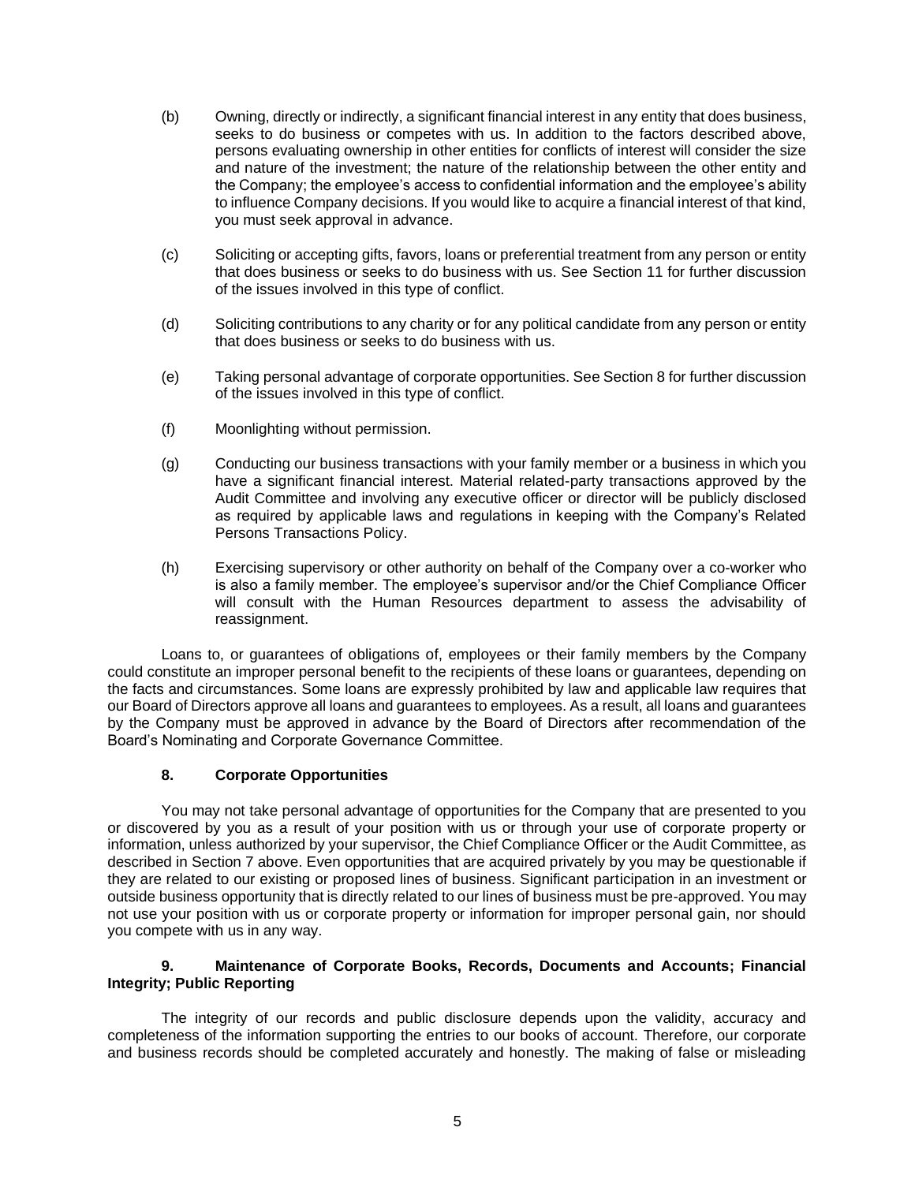- (b) Owning, directly or indirectly, a significant financial interest in any entity that does business, seeks to do business or competes with us. In addition to the factors described above, persons evaluating ownership in other entities for conflicts of interest will consider the size and nature of the investment; the nature of the relationship between the other entity and the Company; the employee's access to confidential information and the employee's ability to influence Company decisions. If you would like to acquire a financial interest of that kind, you must seek approval in advance.
- (c) Soliciting or accepting gifts, favors, loans or preferential treatment from any person or entity that does business or seeks to do business with us. See Section 11 for further discussion of the issues involved in this type of conflict.
- (d) Soliciting contributions to any charity or for any political candidate from any person or entity that does business or seeks to do business with us.
- (e) Taking personal advantage of corporate opportunities. See Section 8 for further discussion of the issues involved in this type of conflict.
- (f) Moonlighting without permission.
- (g) Conducting our business transactions with your family member or a business in which you have a significant financial interest. Material related-party transactions approved by the Audit Committee and involving any executive officer or director will be publicly disclosed as required by applicable laws and regulations in keeping with the Company's Related Persons Transactions Policy.
- (h) Exercising supervisory or other authority on behalf of the Company over a co-worker who is also a family member. The employee's supervisor and/or the Chief Compliance Officer will consult with the Human Resources department to assess the advisability of reassignment.

Loans to, or guarantees of obligations of, employees or their family members by the Company could constitute an improper personal benefit to the recipients of these loans or guarantees, depending on the facts and circumstances. Some loans are expressly prohibited by law and applicable law requires that our Board of Directors approve all loans and guarantees to employees. As a result, all loans and guarantees by the Company must be approved in advance by the Board of Directors after recommendation of the Board's Nominating and Corporate Governance Committee.

#### **8. Corporate Opportunities**

You may not take personal advantage of opportunities for the Company that are presented to you or discovered by you as a result of your position with us or through your use of corporate property or information, unless authorized by your supervisor, the Chief Compliance Officer or the Audit Committee, as described in Section 7 above. Even opportunities that are acquired privately by you may be questionable if they are related to our existing or proposed lines of business. Significant participation in an investment or outside business opportunity that is directly related to our lines of business must be pre-approved. You may not use your position with us or corporate property or information for improper personal gain, nor should you compete with us in any way.

### **9. Maintenance of Corporate Books, Records, Documents and Accounts; Financial Integrity; Public Reporting**

The integrity of our records and public disclosure depends upon the validity, accuracy and completeness of the information supporting the entries to our books of account. Therefore, our corporate and business records should be completed accurately and honestly. The making of false or misleading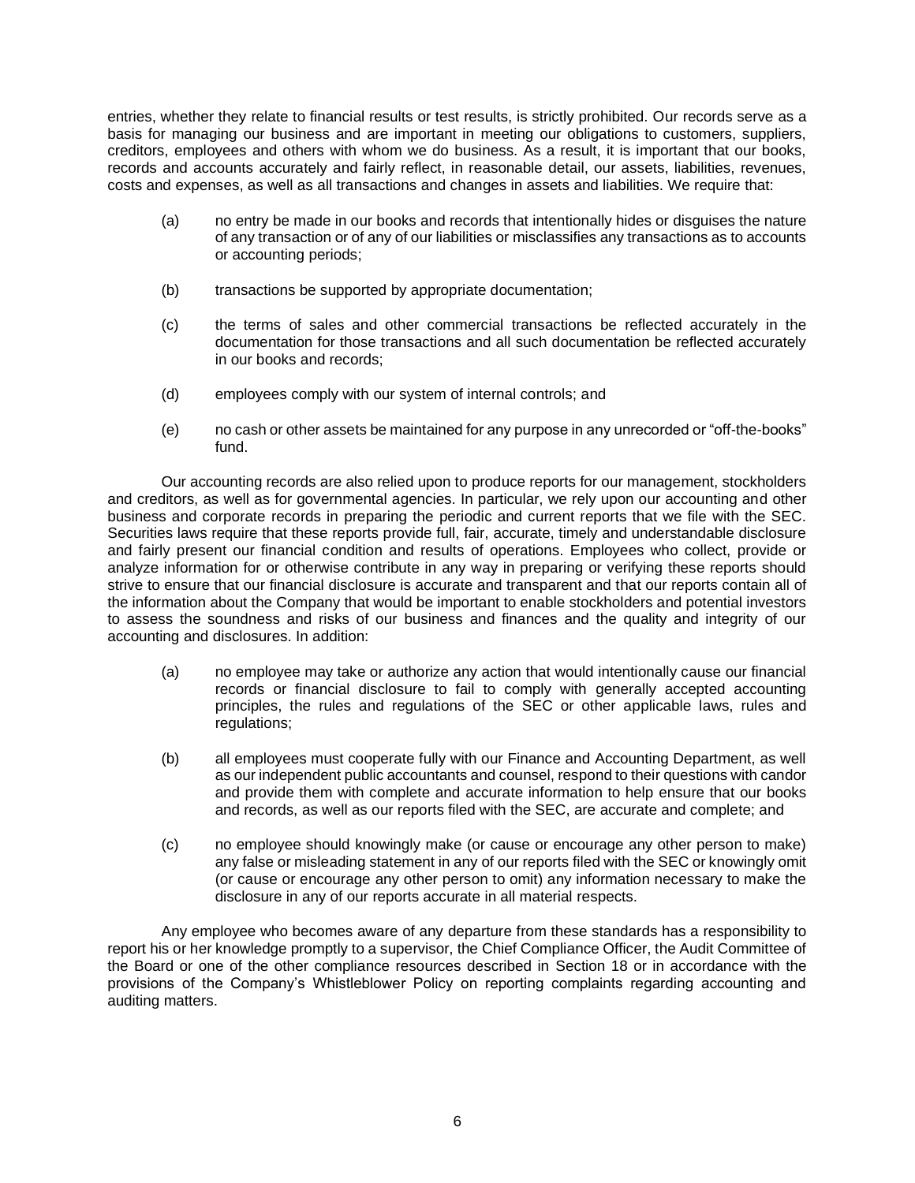entries, whether they relate to financial results or test results, is strictly prohibited. Our records serve as a basis for managing our business and are important in meeting our obligations to customers, suppliers, creditors, employees and others with whom we do business. As a result, it is important that our books, records and accounts accurately and fairly reflect, in reasonable detail, our assets, liabilities, revenues, costs and expenses, as well as all transactions and changes in assets and liabilities. We require that:

- (a) no entry be made in our books and records that intentionally hides or disguises the nature of any transaction or of any of our liabilities or misclassifies any transactions as to accounts or accounting periods;
- (b) transactions be supported by appropriate documentation;
- (c) the terms of sales and other commercial transactions be reflected accurately in the documentation for those transactions and all such documentation be reflected accurately in our books and records;
- (d) employees comply with our system of internal controls; and
- (e) no cash or other assets be maintained for any purpose in any unrecorded or "off-the-books" fund.

Our accounting records are also relied upon to produce reports for our management, stockholders and creditors, as well as for governmental agencies. In particular, we rely upon our accounting and other business and corporate records in preparing the periodic and current reports that we file with the SEC. Securities laws require that these reports provide full, fair, accurate, timely and understandable disclosure and fairly present our financial condition and results of operations. Employees who collect, provide or analyze information for or otherwise contribute in any way in preparing or verifying these reports should strive to ensure that our financial disclosure is accurate and transparent and that our reports contain all of the information about the Company that would be important to enable stockholders and potential investors to assess the soundness and risks of our business and finances and the quality and integrity of our accounting and disclosures. In addition:

- (a) no employee may take or authorize any action that would intentionally cause our financial records or financial disclosure to fail to comply with generally accepted accounting principles, the rules and regulations of the SEC or other applicable laws, rules and regulations;
- (b) all employees must cooperate fully with our Finance and Accounting Department, as well as our independent public accountants and counsel, respond to their questions with candor and provide them with complete and accurate information to help ensure that our books and records, as well as our reports filed with the SEC, are accurate and complete; and
- (c) no employee should knowingly make (or cause or encourage any other person to make) any false or misleading statement in any of our reports filed with the SEC or knowingly omit (or cause or encourage any other person to omit) any information necessary to make the disclosure in any of our reports accurate in all material respects.

Any employee who becomes aware of any departure from these standards has a responsibility to report his or her knowledge promptly to a supervisor, the Chief Compliance Officer, the Audit Committee of the Board or one of the other compliance resources described in Section 18 or in accordance with the provisions of the Company's Whistleblower Policy on reporting complaints regarding accounting and auditing matters.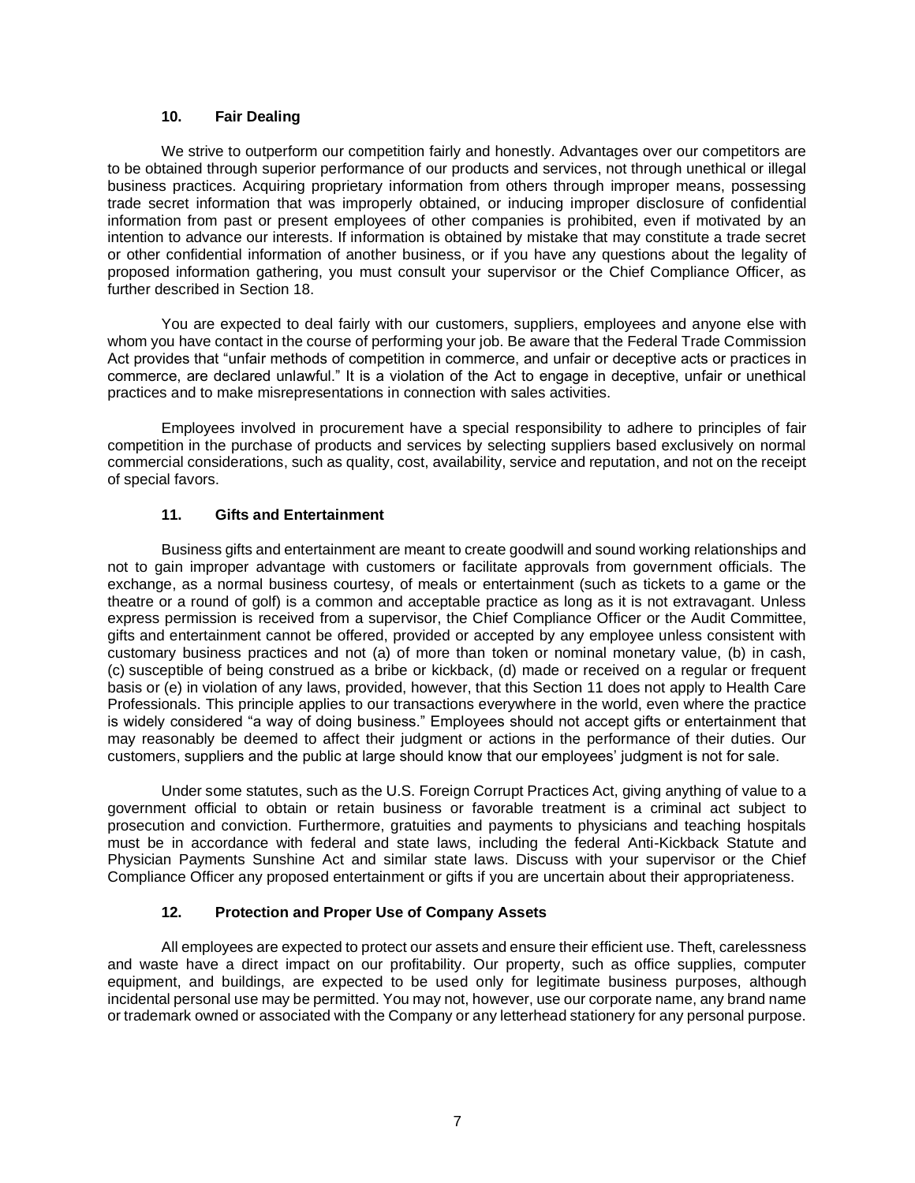#### **10. Fair Dealing**

We strive to outperform our competition fairly and honestly. Advantages over our competitors are to be obtained through superior performance of our products and services, not through unethical or illegal business practices. Acquiring proprietary information from others through improper means, possessing trade secret information that was improperly obtained, or inducing improper disclosure of confidential information from past or present employees of other companies is prohibited, even if motivated by an intention to advance our interests. If information is obtained by mistake that may constitute a trade secret or other confidential information of another business, or if you have any questions about the legality of proposed information gathering, you must consult your supervisor or the Chief Compliance Officer, as further described in Section 18.

You are expected to deal fairly with our customers, suppliers, employees and anyone else with whom you have contact in the course of performing your job. Be aware that the Federal Trade Commission Act provides that "unfair methods of competition in commerce, and unfair or deceptive acts or practices in commerce, are declared unlawful." It is a violation of the Act to engage in deceptive, unfair or unethical practices and to make misrepresentations in connection with sales activities.

Employees involved in procurement have a special responsibility to adhere to principles of fair competition in the purchase of products and services by selecting suppliers based exclusively on normal commercial considerations, such as quality, cost, availability, service and reputation, and not on the receipt of special favors.

### **11. Gifts and Entertainment**

Business gifts and entertainment are meant to create goodwill and sound working relationships and not to gain improper advantage with customers or facilitate approvals from government officials. The exchange, as a normal business courtesy, of meals or entertainment (such as tickets to a game or the theatre or a round of golf) is a common and acceptable practice as long as it is not extravagant. Unless express permission is received from a supervisor, the Chief Compliance Officer or the Audit Committee, gifts and entertainment cannot be offered, provided or accepted by any employee unless consistent with customary business practices and not (a) of more than token or nominal monetary value, (b) in cash, (c) susceptible of being construed as a bribe or kickback, (d) made or received on a regular or frequent basis or (e) in violation of any laws, provided, however, that this Section 11 does not apply to Health Care Professionals. This principle applies to our transactions everywhere in the world, even where the practice is widely considered "a way of doing business." Employees should not accept gifts or entertainment that may reasonably be deemed to affect their judgment or actions in the performance of their duties. Our customers, suppliers and the public at large should know that our employees' judgment is not for sale.

Under some statutes, such as the U.S. Foreign Corrupt Practices Act, giving anything of value to a government official to obtain or retain business or favorable treatment is a criminal act subject to prosecution and conviction. Furthermore, gratuities and payments to physicians and teaching hospitals must be in accordance with federal and state laws, including the federal Anti-Kickback Statute and Physician Payments Sunshine Act and similar state laws. Discuss with your supervisor or the Chief Compliance Officer any proposed entertainment or gifts if you are uncertain about their appropriateness.

### **12. Protection and Proper Use of Company Assets**

All employees are expected to protect our assets and ensure their efficient use. Theft, carelessness and waste have a direct impact on our profitability. Our property, such as office supplies, computer equipment, and buildings, are expected to be used only for legitimate business purposes, although incidental personal use may be permitted. You may not, however, use our corporate name, any brand name or trademark owned or associated with the Company or any letterhead stationery for any personal purpose.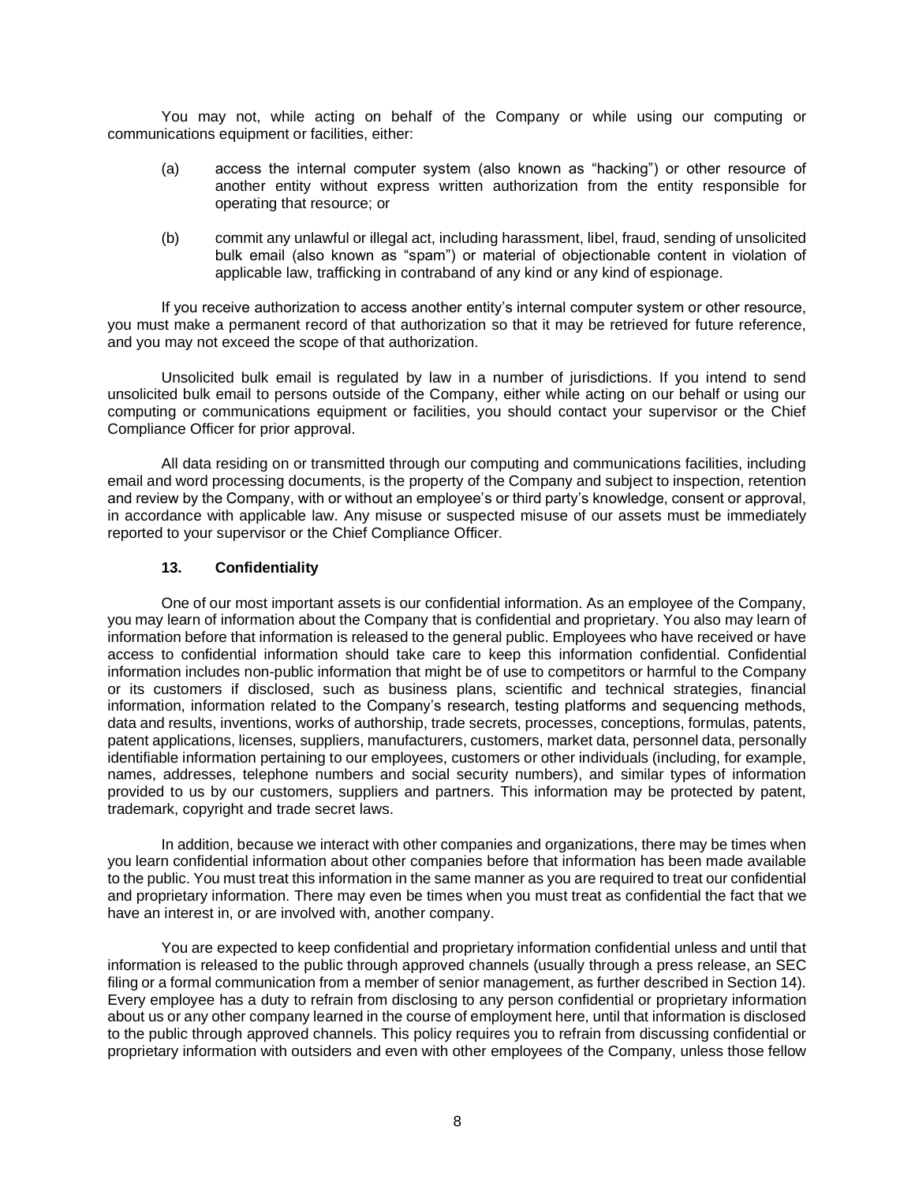You may not, while acting on behalf of the Company or while using our computing or communications equipment or facilities, either:

- (a) access the internal computer system (also known as "hacking") or other resource of another entity without express written authorization from the entity responsible for operating that resource; or
- (b) commit any unlawful or illegal act, including harassment, libel, fraud, sending of unsolicited bulk email (also known as "spam") or material of objectionable content in violation of applicable law, trafficking in contraband of any kind or any kind of espionage.

If you receive authorization to access another entity's internal computer system or other resource, you must make a permanent record of that authorization so that it may be retrieved for future reference, and you may not exceed the scope of that authorization.

Unsolicited bulk email is regulated by law in a number of jurisdictions. If you intend to send unsolicited bulk email to persons outside of the Company, either while acting on our behalf or using our computing or communications equipment or facilities, you should contact your supervisor or the Chief Compliance Officer for prior approval.

All data residing on or transmitted through our computing and communications facilities, including email and word processing documents, is the property of the Company and subject to inspection, retention and review by the Company, with or without an employee's or third party's knowledge, consent or approval, in accordance with applicable law. Any misuse or suspected misuse of our assets must be immediately reported to your supervisor or the Chief Compliance Officer.

#### **13. Confidentiality**

One of our most important assets is our confidential information. As an employee of the Company, you may learn of information about the Company that is confidential and proprietary. You also may learn of information before that information is released to the general public. Employees who have received or have access to confidential information should take care to keep this information confidential. Confidential information includes non-public information that might be of use to competitors or harmful to the Company or its customers if disclosed, such as business plans, scientific and technical strategies, financial information, information related to the Company's research, testing platforms and sequencing methods, data and results, inventions, works of authorship, trade secrets, processes, conceptions, formulas, patents, patent applications, licenses, suppliers, manufacturers, customers, market data, personnel data, personally identifiable information pertaining to our employees, customers or other individuals (including, for example, names, addresses, telephone numbers and social security numbers), and similar types of information provided to us by our customers, suppliers and partners. This information may be protected by patent, trademark, copyright and trade secret laws.

In addition, because we interact with other companies and organizations, there may be times when you learn confidential information about other companies before that information has been made available to the public. You must treat this information in the same manner as you are required to treat our confidential and proprietary information. There may even be times when you must treat as confidential the fact that we have an interest in, or are involved with, another company.

You are expected to keep confidential and proprietary information confidential unless and until that information is released to the public through approved channels (usually through a press release, an SEC filing or a formal communication from a member of senior management, as further described in Section 14). Every employee has a duty to refrain from disclosing to any person confidential or proprietary information about us or any other company learned in the course of employment here, until that information is disclosed to the public through approved channels. This policy requires you to refrain from discussing confidential or proprietary information with outsiders and even with other employees of the Company, unless those fellow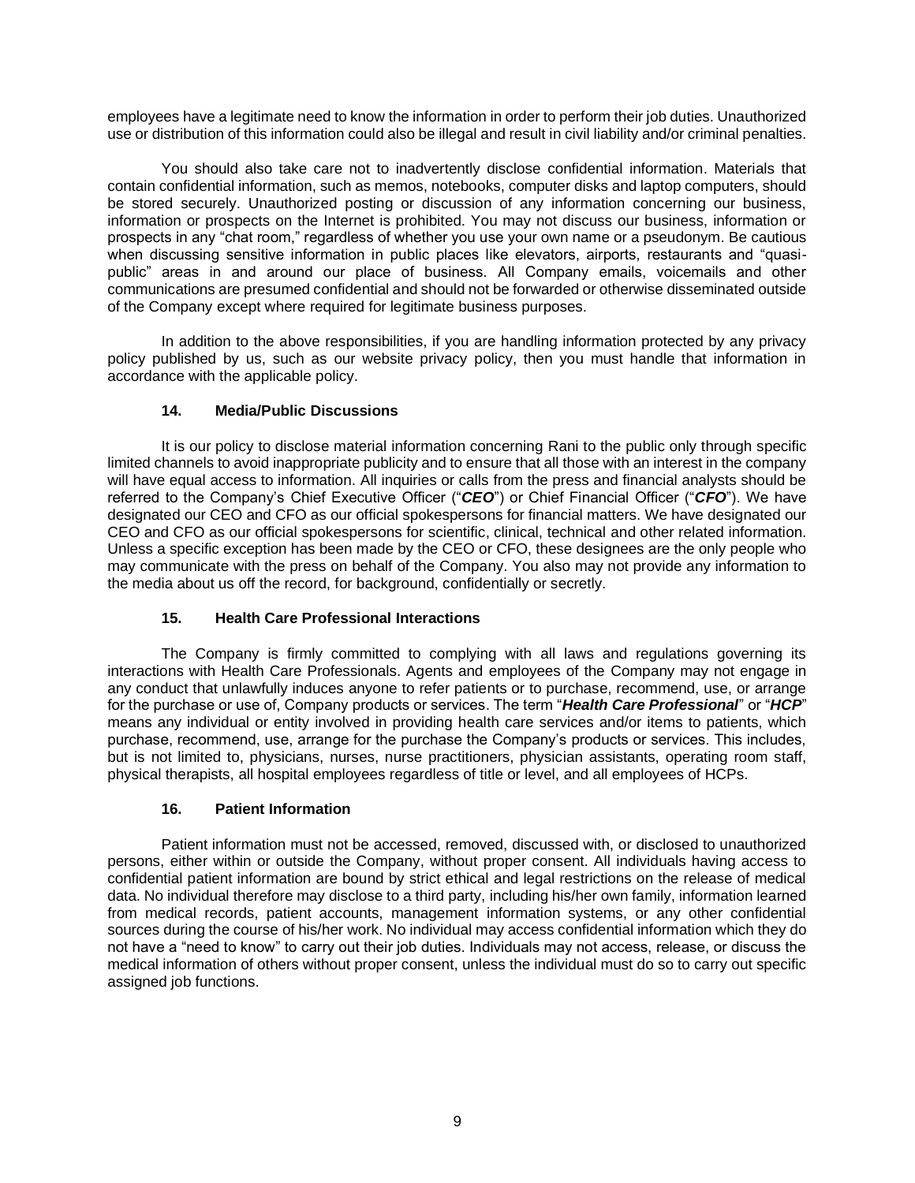employees have a legitimate need to know the information in order to perform their job duties. Unauthorized use or distribution of this information could also be illegal and result in civil liability and/or criminal penalties.

You should also take care not to inadvertently disclose confidential information. Materials that contain confidential information, such as memos, notebooks, computer disks and laptop computers, should be stored securely. Unauthorized posting or discussion of any information concerning our business, information or prospects on the Internet is prohibited. You may not discuss our business, information or prospects in any "chat room," regardless of whether you use your own name or a pseudonym. Be cautious when discussing sensitive information in public places like elevators, airports, restaurants and "quasipublic" areas in and around our place of business. All Company emails, voicemails and other communications are presumed confidential and should not be forwarded or otherwise disseminated outside of the Company except where required for legitimate business purposes.

In addition to the above responsibilities, if you are handling information protected by any privacy policy published by us, such as our website privacy policy, then you must handle that information in accordance with the applicable policy.

# **14. Media/Public Discussions**

It is our policy to disclose material information concerning Rani to the public only through specific limited channels to avoid inappropriate publicity and to ensure that all those with an interest in the company will have equal access to information. All inquiries or calls from the press and financial analysts should be referred to the Company's Chief Executive Officer ("*CEO*") or Chief Financial Officer ("*CFO*"). We have designated our CEO and CFO as our official spokespersons for financial matters. We have designated our CEO and CFO as our official spokespersons for scientific, clinical, technical and other related information. Unless a specific exception has been made by the CEO or CFO, these designees are the only people who may communicate with the press on behalf of the Company. You also may not provide any information to the media about us off the record, for background, confidentially or secretly.

## **15. Health Care Professional Interactions**

The Company is firmly committed to complying with all laws and regulations governing its interactions with Health Care Professionals. Agents and employees of the Company may not engage in any conduct that unlawfully induces anyone to refer patients or to purchase, recommend, use, or arrange for the purchase or use of, Company products or services. The term "*Health Care Professional*" or "*HCP*" means any individual or entity involved in providing health care services and/or items to patients, which purchase, recommend, use, arrange for the purchase the Company's products or services. This includes, but is not limited to, physicians, nurses, nurse practitioners, physician assistants, operating room staff, physical therapists, all hospital employees regardless of title or level, and all employees of HCPs.

## **16. Patient Information**

Patient information must not be accessed, removed, discussed with, or disclosed to unauthorized persons, either within or outside the Company, without proper consent. All individuals having access to confidential patient information are bound by strict ethical and legal restrictions on the release of medical data. No individual therefore may disclose to a third party, including his/her own family, information learned from medical records, patient accounts, management information systems, or any other confidential sources during the course of his/her work. No individual may access confidential information which they do not have a "need to know" to carry out their job duties. Individuals may not access, release, or discuss the medical information of others without proper consent, unless the individual must do so to carry out specific assigned job functions.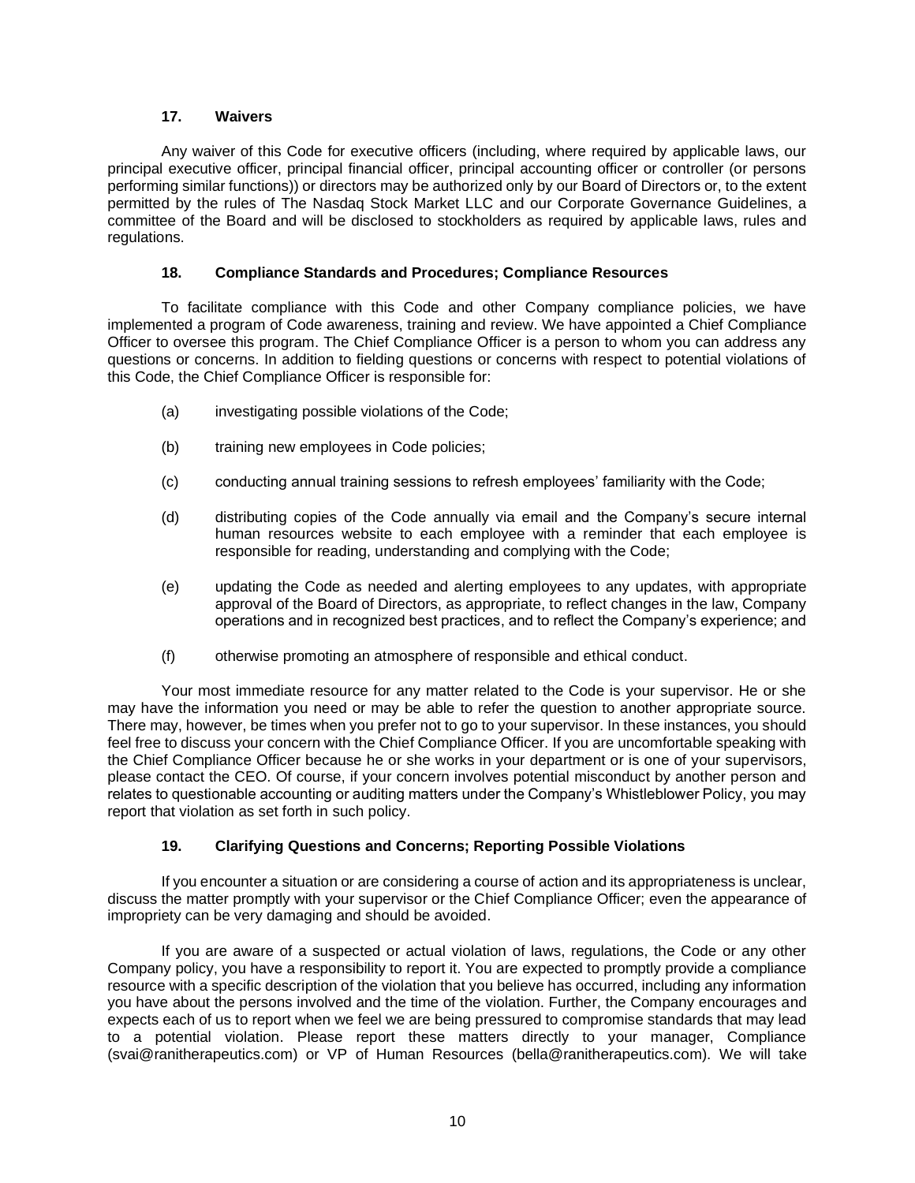### **17. Waivers**

Any waiver of this Code for executive officers (including, where required by applicable laws, our principal executive officer, principal financial officer, principal accounting officer or controller (or persons performing similar functions)) or directors may be authorized only by our Board of Directors or, to the extent permitted by the rules of The Nasdaq Stock Market LLC and our Corporate Governance Guidelines, a committee of the Board and will be disclosed to stockholders as required by applicable laws, rules and regulations.

### **18. Compliance Standards and Procedures; Compliance Resources**

To facilitate compliance with this Code and other Company compliance policies, we have implemented a program of Code awareness, training and review. We have appointed a Chief Compliance Officer to oversee this program. The Chief Compliance Officer is a person to whom you can address any questions or concerns. In addition to fielding questions or concerns with respect to potential violations of this Code, the Chief Compliance Officer is responsible for:

- (a) investigating possible violations of the Code;
- (b) training new employees in Code policies;
- (c) conducting annual training sessions to refresh employees' familiarity with the Code;
- (d) distributing copies of the Code annually via email and the Company's secure internal human resources website to each employee with a reminder that each employee is responsible for reading, understanding and complying with the Code;
- (e) updating the Code as needed and alerting employees to any updates, with appropriate approval of the Board of Directors, as appropriate, to reflect changes in the law, Company operations and in recognized best practices, and to reflect the Company's experience; and
- (f) otherwise promoting an atmosphere of responsible and ethical conduct.

Your most immediate resource for any matter related to the Code is your supervisor. He or she may have the information you need or may be able to refer the question to another appropriate source. There may, however, be times when you prefer not to go to your supervisor. In these instances, you should feel free to discuss your concern with the Chief Compliance Officer. If you are uncomfortable speaking with the Chief Compliance Officer because he or she works in your department or is one of your supervisors, please contact the CEO. Of course, if your concern involves potential misconduct by another person and relates to questionable accounting or auditing matters under the Company's Whistleblower Policy, you may report that violation as set forth in such policy.

## **19. Clarifying Questions and Concerns; Reporting Possible Violations**

If you encounter a situation or are considering a course of action and its appropriateness is unclear, discuss the matter promptly with your supervisor or the Chief Compliance Officer; even the appearance of impropriety can be very damaging and should be avoided.

If you are aware of a suspected or actual violation of laws, regulations, the Code or any other Company policy, you have a responsibility to report it. You are expected to promptly provide a compliance resource with a specific description of the violation that you believe has occurred, including any information you have about the persons involved and the time of the violation. Further, the Company encourages and expects each of us to report when we feel we are being pressured to compromise standards that may lead to a potential violation. Please report these matters directly to your manager, Compliance (svai@ranitherapeutics.com) or VP of Human Resources (bella@ranitherapeutics.com). We will take